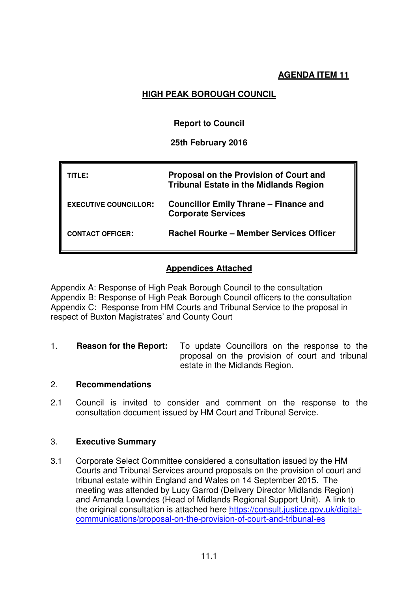## **AGENDA ITEM 11**

# **HIGH PEAK BOROUGH COUNCIL**

## **Report to Council**

## **25th February 2016**

| TITLE:                       | Proposal on the Provision of Court and<br><b>Tribunal Estate in the Midlands Region</b> |
|------------------------------|-----------------------------------------------------------------------------------------|
| <b>EXECUTIVE COUNCILLOR:</b> | <b>Councillor Emily Thrane – Finance and</b><br><b>Corporate Services</b>               |
| <b>CONTACT OFFICER:</b>      | <b>Rachel Rourke - Member Services Officer</b>                                          |

## **Appendices Attached**

Appendix A: Response of High Peak Borough Council to the consultation Appendix B: Response of High Peak Borough Council officers to the consultation Appendix C: Response from HM Courts and Tribunal Service to the proposal in respect of Buxton Magistrates' and County Court

1. **Reason for the Report:** To update Councillors on the response to the proposal on the provision of court and tribunal estate in the Midlands Region.

## 2. **Recommendations**

2.1 Council is invited to consider and comment on the response to the consultation document issued by HM Court and Tribunal Service.

## 3. **Executive Summary**

3.1 Corporate Select Committee considered a consultation issued by the HM Courts and Tribunal Services around proposals on the provision of court and tribunal estate within England and Wales on 14 September 2015. The meeting was attended by Lucy Garrod (Delivery Director Midlands Region) and Amanda Lowndes (Head of Midlands Regional Support Unit). A link to the original consultation is attached here https://consult.justice.gov.uk/digitalcommunications/proposal-on-the-provision-of-court-and-tribunal-es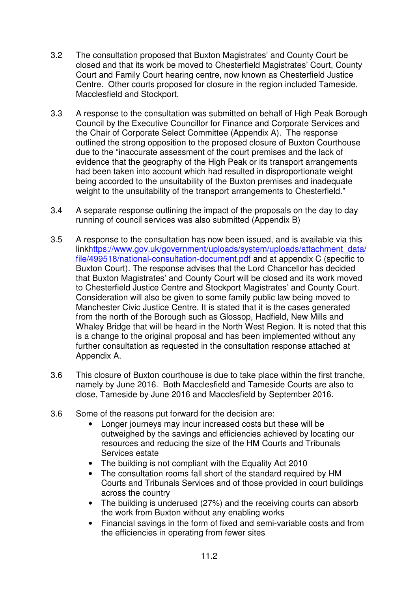- 3.2 The consultation proposed that Buxton Magistrates' and County Court be closed and that its work be moved to Chesterfield Magistrates' Court, County Court and Family Court hearing centre, now known as Chesterfield Justice Centre. Other courts proposed for closure in the region included Tameside, Macclesfield and Stockport.
- 3.3 A response to the consultation was submitted on behalf of High Peak Borough Council by the Executive Councillor for Finance and Corporate Services and the Chair of Corporate Select Committee (Appendix A). The response outlined the strong opposition to the proposed closure of Buxton Courthouse due to the "inaccurate assessment of the court premises and the lack of evidence that the geography of the High Peak or its transport arrangements had been taken into account which had resulted in disproportionate weight being accorded to the unsuitability of the Buxton premises and inadequate weight to the unsuitability of the transport arrangements to Chesterfield."
- 3.4 A separate response outlining the impact of the proposals on the day to day running of council services was also submitted (Appendix B)
- 3.5 A response to the consultation has now been issued, and is available via this linkhttps://www.gov.uk/government/uploads/system/uploads/attachment\_data/ file/499518/national-consultation-document.pdf and at appendix C (specific to Buxton Court). The response advises that the Lord Chancellor has decided that Buxton Magistrates' and County Court will be closed and its work moved to Chesterfield Justice Centre and Stockport Magistrates' and County Court. Consideration will also be given to some family public law being moved to Manchester Civic Justice Centre. It is stated that it is the cases generated from the north of the Borough such as Glossop, Hadfield, New Mills and Whaley Bridge that will be heard in the North West Region. It is noted that this is a change to the original proposal and has been implemented without any further consultation as requested in the consultation response attached at Appendix A.
- 3.6 This closure of Buxton courthouse is due to take place within the first tranche, namely by June 2016. Both Macclesfield and Tameside Courts are also to close, Tameside by June 2016 and Macclesfield by September 2016.
- 3.6 Some of the reasons put forward for the decision are:
	- Longer journeys may incur increased costs but these will be outweighed by the savings and efficiencies achieved by locating our resources and reducing the size of the HM Courts and Tribunals Services estate
	- The building is not compliant with the Equality Act 2010
	- The consultation rooms fall short of the standard required by HM Courts and Tribunals Services and of those provided in court buildings across the country
	- The building is underused (27%) and the receiving courts can absorb the work from Buxton without any enabling works
	- Financial savings in the form of fixed and semi-variable costs and from the efficiencies in operating from fewer sites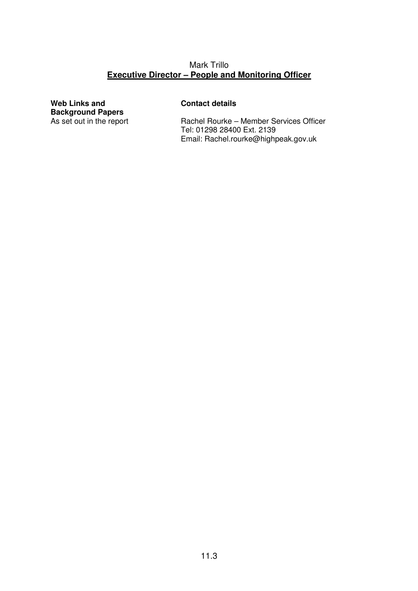## Mark Trillo **Executive Director – People and Monitoring Officer**

**Web Links and Background Papers** 

## **Contact details**

Rachel Rourke – Member Services Officer Tel: 01298 28400 Ext. 2139 Email: Rachel.rourke@highpeak.gov.uk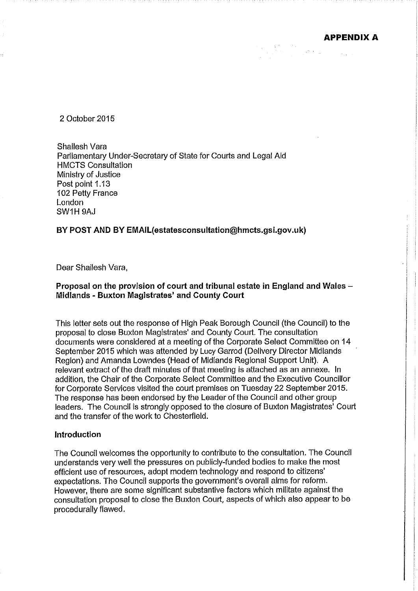**APPENDIX A** 

2 October 2015

Shailesh Vara Parliamentary Under-Secretary of State for Courts and Legal Aid **HMCTS Consultation** Ministry of Justice Post point 1.13 102 Petty France London SW1H9AJ

### BY POST AND BY EMAIL(estatesconsultation@hmcts.gsi.gov.uk)

Dear Shailesh Vara,

## Proposal on the provision of court and tribunal estate in England and Wales -Midlands - Buxton Magistrates' and County Court

This letter sets out the response of High Peak Borough Council (the Council) to the proposal to close Buxton Magistrates' and County Court. The consultation documents were considered at a meeting of the Corporate Select Committee on 14 September 2015 which was attended by Lucy Garrod (Delivery Director Midlands Region) and Amanda Lowndes (Head of Midlands Regional Support Unit). A relevant extract of the draft minutes of that meeting is attached as an annexe. In addition, the Chair of the Corporate Select Committee and the Executive Councillor for Corporate Services visited the court premises on Tuesday 22 September 2015. The response has been endorsed by the Leader of the Council and other group leaders. The Council is strongly opposed to the closure of Buxton Magistrates' Court and the transfer of the work to Chesterfield.

### Introduction

The Council welcomes the opportunity to contribute to the consultation. The Council understands very well the pressures on publicly-funded bodies to make the most efficient use of resources, adopt modern technology and respond to citizens' expectations. The Council supports the government's overall aims for reform. However, there are some significant substantive factors which militate against the consultation proposal to close the Buxton Court, aspects of which also appear to be procedurally flawed.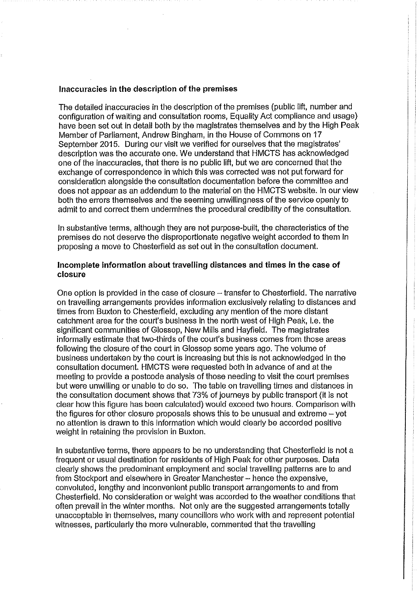### Inaccuracies in the description of the premises

The detailed inaccuracies in the description of the premises (public lift, number and configuration of waiting and consultation rooms, Equality Act compliance and usage) have been set out in detail both by the magistrates themselves and by the High Peak Member of Parliament, Andrew Bingham, in the House of Commons on 17 September 2015. During our visit we verified for ourselves that the magistrates' description was the accurate one. We understand that HMCTS has acknowledged one of the inaccuracies, that there is no public lift, but we are concerned that the exchange of correspondence in which this was corrected was not put forward for consideration alongside the consultation documentation before the committee and does not appear as an addendum to the material on the HMCTS website. In our view both the errors themselves and the seeming unwillingness of the service openly to admit to and correct them undermines the procedural credibility of the consultation.

In substantive terms, although they are not purpose-built, the characteristics of the premises do not deserve the disproportionate negative weight accorded to them in proposing a move to Chesterfield as set out in the consultation document.

### Incomplete information about travelling distances and times in the case of closure

One option is provided in the case of closure - transfer to Chesterfield. The narrative on travelling arrangements provides information exclusively relating to distances and times from Buxton to Chesterfield, excluding any mention of the more distant catchment area for the court's business in the north west of High Peak, i.e. the significant communities of Glossop, New Mills and Hayfield. The magistrates informally estimate that two-thirds of the court's business comes from those areas following the closure of the court in Glossop some years ago. The volume of business undertaken by the court is increasing but this is not acknowledged in the consultation document. HMCTS were requested both in advance of and at the meeting to provide a postcode analysis of those needing to visit the court premises but were unwilling or unable to do so. The table on travelling times and distances in the consultation document shows that 73% of journeys by public transport (it is not clear how this figure has been calculated) would exceed two hours. Comparison with the figures for other closure proposals shows this to be unusual and extreme  $-$  vet no attention is drawn to this information which would clearly be accorded positive weight in retaining the provision in Buxton.

In substantive terms, there appears to be no understanding that Chesterfield is not a frequent or usual destination for residents of High Peak for other purposes. Data clearly shows the predominant employment and social travelling patterns are to and from Stockport and elsewhere in Greater Manchester - hence the expensive, convoluted, lengthy and inconvenient public transport arrangements to and from Chesterfield. No consideration or weight was accorded to the weather conditions that often prevail in the winter months. Not only are the suggested arrangements totally unacceptable in themselves, many councillors who work with and represent potential witnesses, particularly the more vulnerable, commented that the travelling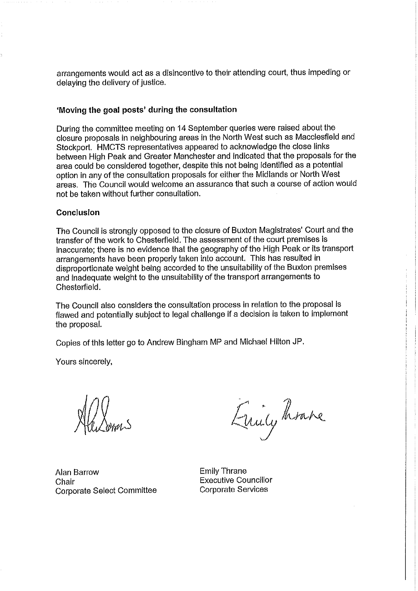arrangements would act as a disincentive to their attending court, thus impeding or delaving the delivery of justice.

### 'Moving the goal posts' during the consultation

During the committee meeting on 14 September queries were raised about the closure proposals in neighbouring areas in the North West such as Macclesfield and Stockport. HMCTS representatives appeared to acknowledge the close links between High Peak and Greater Manchester and indicated that the proposals for the area could be considered together, despite this not being identified as a potential option in any of the consultation proposals for either the Midlands or North West areas. The Council would welcome an assurance that such a course of action would not be taken without further consultation.

### Conclusion

The Council is strongly opposed to the closure of Buxton Magistrates' Court and the transfer of the work to Chesterfield. The assessment of the court premises is inaccurate: there is no evidence that the geography of the High Peak or its transport arrangements have been properly taken into account. This has resulted in disproportionate weight being accorded to the unsuitability of the Buxton premises and inadequate weight to the unsuitability of the transport arrangements to Chesterfield.

The Council also considers the consultation process in relation to the proposal is flawed and potentially subject to legal challenge if a decision is taken to implement the proposal.

Copies of this letter go to Andrew Bingham MP and Michael Hilton JP.

Yours sincerely,

Emily heave

**Alan Barrow** Chair Corporate Select Committee

**Emily Thrane Executive Councillor Corporate Services**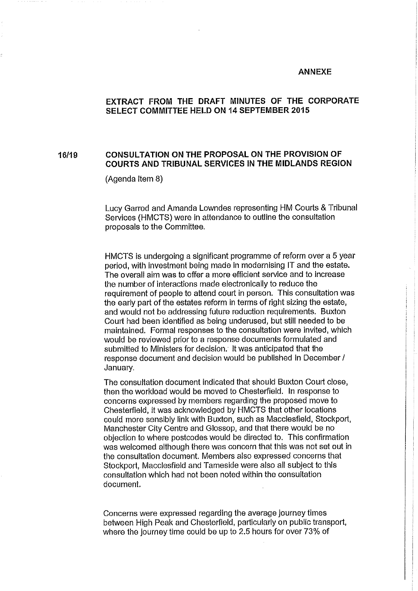#### **ANNEXE**

## EXTRACT FROM THE DRAFT MINUTES OF THE CORPORATE SELECT COMMITTEE HELD ON 14 SEPTEMBER 2015

#### CONSULTATION ON THE PROPOSAL ON THE PROVISION OF 16/19 COURTS AND TRIBUNAL SERVICES IN THE MIDLANDS REGION

(Agenda item 8)

Lucy Garrod and Amanda Lowndes representing HM Courts & Tribunal Services (HMCTS) were in attendance to outline the consultation proposals to the Committee.

HMCTS is undergoing a significant programme of reform over a 5 year period, with investment being made in modernising IT and the estate. The overall aim was to offer a more efficient service and to increase the number of interactions made electronically to reduce the requirement of people to attend court in person. This consultation was the early part of the estates reform in terms of right sizing the estate, and would not be addressing future reduction requirements. Buxton Court had been identified as being underused, but still needed to be maintained. Formal responses to the consultation were invited, which would be reviewed prior to a response documents formulated and submitted to Ministers for decision. It was anticipated that the response document and decision would be published in December / January.

The consultation document indicated that should Buxton Court close, then the workload would be moved to Chesterfield. In response to concerns expressed by members regarding the proposed move to Chesterfield, it was acknowledged by HMCTS that other locations could more sensibly link with Buxton, such as Macclesfield, Stockport, Manchester City Centre and Glossop, and that there would be no objection to where postcodes would be directed to. This confirmation was welcomed although there was concern that this was not set out in the consultation document. Members also expressed concerns that Stockport, Macclesfield and Tameside were also all subject to this consultation which had not been noted within the consultation document.

Concerns were expressed regarding the average journey times between High Peak and Chesterfield, particularly on public transport, where the journey time could be up to 2.5 hours for over 73% of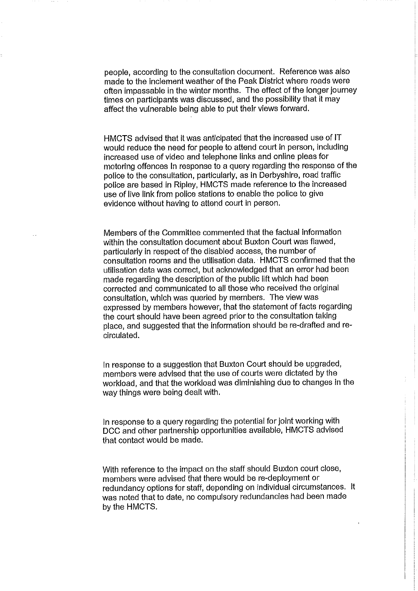people, according to the consultation document. Reference was also made to the inclement weather of the Peak District where roads were often impassable in the winter months. The effect of the longer journey times on participants was discussed, and the possibility that it may affect the vulnerable being able to put their views forward.

HMCTS advised that it was anticipated that the increased use of IT would reduce the need for people to attend court in person, including increased use of video and telephone links and online pleas for motoring offences In response to a query regarding the response of the police to the consultation, particularly, as in Derbyshire, road traffic police are based in Ripley. HMCTS made reference to the increased use of live link from police stations to enable the police to give evidence without having to attend court in person.

Members of the Committee commented that the factual information within the consultation document about Buxton Court was flawed, particularly in respect of the disabled access, the number of consultation rooms and the utilisation data. HMCTS confirmed that the utilisation data was correct, but acknowledged that an error had been made regarding the description of the public lift which had been corrected and communicated to all those who received the original consultation, which was queried by members. The view was expressed by members however, that the statement of facts regarding the court should have been agreed prior to the consultation taking place, and suggested that the information should be re-drafted and recirculated.

In response to a suggestion that Buxton Court should be upgraded, members were advised that the use of courts were dictated by the workload, and that the workload was diminishing due to changes in the way things were being dealt with.

In response to a query regarding the potential for joint working with DCC and other partnership opportunities available, HMCTS advised that contact would be made.

With reference to the impact on the staff should Buxton court close, members were advised that there would be re-deployment or redundancy options for staff, depending on individual circumstances. It was noted that to date, no compulsory redundancies had been made by the HMCTS.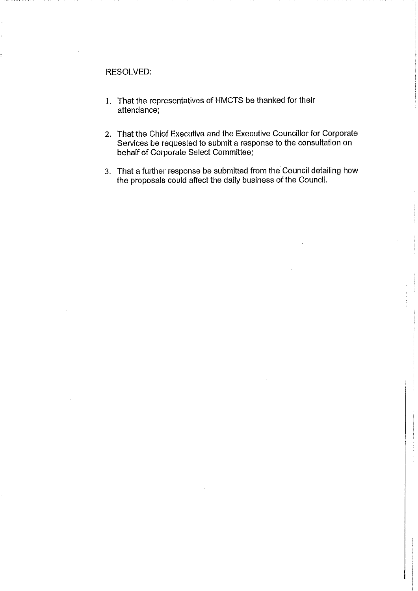### RESOLVED:

- 1. That the representatives of HMCTS be thanked for their attendance:
- 2. That the Chief Executive and the Executive Councillor for Corporate Services be requested to submit a response to the consultation on behalf of Corporate Select Committee;
- 3. That a further response be submitted from the Council detailing how the proposals could affect the daily business of the Council.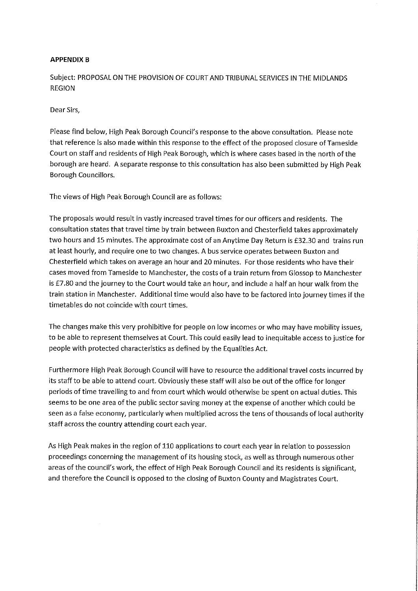### **APPENDIX B**

Subject: PROPOSAL ON THE PROVISION OF COURT AND TRIBUNAL SERVICES IN THE MIDLANDS **REGION** 

Dear Sirs,

Please find below, High Peak Borough Council's response to the above consultation. Please note that reference is also made within this response to the effect of the proposed closure of Tameside Court on staff and residents of High Peak Borough, which is where cases based in the north of the borough are heard. A separate response to this consultation has also been submitted by High Peak Borough Councillors.

The views of High Peak Borough Council are as follows:

The proposals would result in vastly increased travel times for our officers and residents. The consultation states that travel time by train between Buxton and Chesterfield takes approximately two hours and 15 minutes. The approximate cost of an Anytime Day Return is £32.30 and trains run at least hourly, and require one to two changes. A bus service operates between Buxton and Chesterfield which takes on average an hour and 20 minutes. For those residents who have their cases moved from Tameside to Manchester, the costs of a train return from Glossop to Manchester is £7.80 and the journey to the Court would take an hour, and include a half an hour walk from the train station in Manchester. Additional time would also have to be factored into journey times if the timetables do not coincide with court times.

The changes make this very prohibitive for people on low incomes or who may have mobility issues, to be able to represent themselves at Court. This could easily lead to inequitable access to justice for people with protected characteristics as defined by the Equalities Act.

Furthermore High Peak Borough Council will have to resource the additional travel costs incurred by its staff to be able to attend court. Obviously these staff will also be out of the office for longer periods of time travelling to and from court which would otherwise be spent on actual duties. This seems to be one area of the public sector saving money at the expense of another which could be seen as a false economy, particularly when multiplied across the tens of thousands of local authority staff across the country attending court each year.

As High Peak makes in the region of 110 applications to court each year in relation to possession proceedings concerning the management of its housing stock, as well as through numerous other areas of the council's work, the effect of High Peak Borough Council and its residents is significant, and therefore the Council is opposed to the closing of Buxton County and Magistrates Court.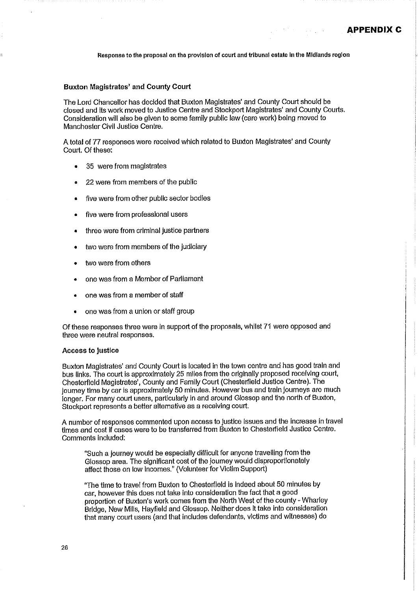#### **Buxton Magistrates' and County Court**

The Lord Chancellor has decided that Buxton Magistrates' and County Court should be closed and its work moved to Justice Centre and Stockport Magistrates' and County Courts. Consideration will also be given to some family public law (care work) being moved to Manchester Civil Justice Centre.

A total of 77 responses were received which related to Buxton Magistrates' and County Court. Of these:

- 35 were from magistrates
- 22 were from members of the public
- five were from other public sector bodies
- five were from professional users
- three were from criminal justice partners
- two were from members of the judiciary
- two were from others
- one was from a Member of Parliament
- one was from a member of staff
- one was from a union or staff group

Of these responses three were in support of the proposals, whilst 71 were opposed and three were neutral responses.

#### **Access to Justice**

Buxton Magistrates' and County Court is located in the town centre and has good train and bus links. The court is approximately 25 miles from the originally proposed receiving court, Chesterfield Magistrates', County and Family Court (Chesterfield Justice Centre). The journey time by car is approximately 50 minutes. However bus and train journeys are much Jonger. For many court users, particularly in and around Glossop and the north of Buxton, Stockport represents a better alternative as a receiving court.

A number of responses commented upon access to justice issues and the increase in travel times and cost if cases were to be transferred from Buxton to Chesterfield Justice Centre. Comments included:

"Such a journey would be especially difficult for anyone travelling from the Glossop area. The significant cost of the journey would disproportionately affect those on low incomes." (Volunteer for Victim Support)

"The time to travel from Buxton to Chesterfield is indeed about 50 minutes by car, however this does not take into consideration the fact that a good proportion of Buxton's work comes from the North West of the county - Wharlev Bridge, New Mills, Hayfield and Glossop. Neither does it take into consideration that many court users (and that includes defendants, victims and witnesses) do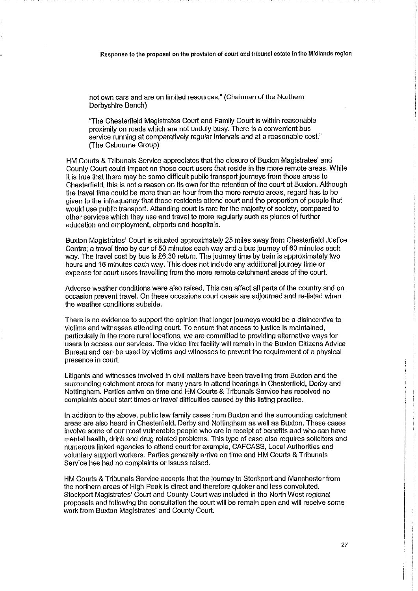not own cars and are on limited resources." (Chaiman of the Northern Derbyshire Bench)

"The Chesterfield Magistrates Court and Family Court is within reasonable proximity on roads which are not unduly busy. There is a convenient bus service running at comparatively regular intervals and at a reasonable cost." (The Osbourne Group)

HM Courts & Tribunals Service appreciates that the closure of Buxton Magistrates' and County Court could impact on those court users that reside in the more remote areas. While it is true that there may be some difficult public transport journeys from those areas to Chesterfield, this is not a reason on its own for the retention of the court at Buxton. Although the travel time could be more than an hour from the more remote areas, regard has to be given to the infrequency that those residents attend court and the proportion of people that would use public transport. Attending court is rare for the majority of society, compared to other services which they use and travel to more regularly such as places of further education and employment, airports and hospitals.

Buxton Magistrates' Court is situated approximately 25 miles away from Chesterfield Justice Centre: a travel time by car of 50 minutes each way and a bus journey of 60 minutes each way. The travel cost by bus is £6.30 return. The journey time by train is approximately two hours and 15 minutes each way. This does not include any additional journey time or expense for court users travelling from the more remote catchment areas of the court.

Adverse weather conditions were also raised. This can affect all parts of the country and on occasion prevent travel. On these occasions court cases are adjourned and re-listed when the weather conditions subside.

There is no evidence to support the opinion that longer journeys would be a disincentive to victims and witnesses attending court. To ensure that access to justice is maintained, particularly in the more rural locations, we are committed to providing alternative ways for users to access our services. The video link facility will remain in the Buxton Citizens Advice Bureau and can be used by victims and witnesses to prevent the requirement of a physical presence in court.

Litigants and witnesses involved in civil matters have been travelling from Buxton and the surrounding catchment areas for many years to attend hearings in Chesterfield, Derby and Nottingham. Parties arrive on time and HM Courts & Tribunals Service has received no complaints about start times or travel difficulties caused by this listing practise.

In addition to the above, public law family cases from Buxton and the surrounding catchment areas are also heard in Chesterfield, Derby and Nottingham as well as Buxton. These cases involve some of our most vulnerable people who are in receipt of benefits and who can have mental health, drink and drug related problems. This type of case also requires solicitors and numerous linked agencies to attend court for example, CAFCASS, Local Authorities and voluntary support workers. Parties generally arrive on time and HM Courts & Tribunals Service has had no complaints or issues raised.

HM Courts & Tribunals Service accepts that the journey to Stockport and Manchester from the northern areas of High Peak is direct and therefore quicker and less convoluted. Stockport Magistrates' Court and County Court was included in the North West regional proposals and following the consultation the court will be remain open and will receive some work from Buxton Magistrates' and County Court.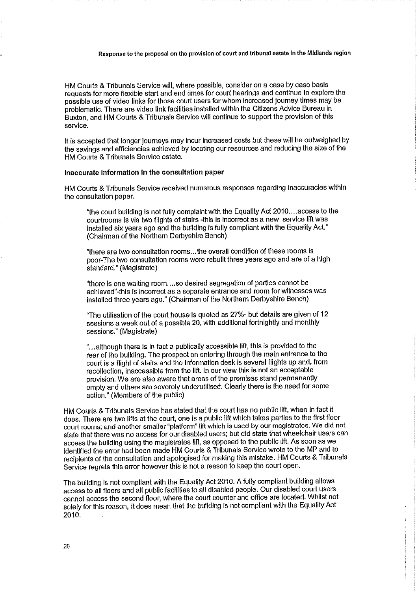HM Courts & Tribunals Service will, where possible, consider on a case by case basis requests for more flexible start and end times for court hearings and continue to explore the possible use of video links for those court users for whom increased journey times may be problematic. There are video link facilities installed within the Citizens Advice Bureau in Buxton, and HM Courts & Tribunals Service will continue to support the provision of this service.

It is accepted that longer journeys may incur increased costs but these will be outweighed by the savings and efficiencies achieved by locating our resources and reducing the size of the HM Courts & Tribunals Service estate.

#### Inaccurate information in the consultation paper

HM Courts & Tribunals Service received numerous responses regarding inaccuracies within the consultation paper.

"the court building is not fully complaint with the Equality Act 2010...access to the courtrooms is via two flights of stairs -this is incorrect as a new service lift was installed six vears ago and the building is fully compliant with the Equality Act." (Chairman of the Northern Derbyshire Bench)

"there are two consultation rooms...the overall condition of these rooms is poor-The two consultation rooms were rebuilt three years ago and are of a high standard." (Magistrate)

"there is one waiting room....so desired segregation of parties cannot be achieved"-this is incorrect as a separate entrance and room for witnesses was installed three years ago." (Chairman of the Northern Derbyshire Bench)

"The utilisation of the court house is quoted as 27%- but details are given of 12 sessions a week out of a possible 20, with additional fortnightly and monthly sessions." (Magistrate)

"...although there is in fact a publically accessible lift, this is provided to the rear of the building. The prospect on entering through the main entrance to the court is a flight of stairs and the information desk is several flights up and, from recollection, inaccessible from the lift. In our view this is not an acceptable provision. We are also aware that areas of the premises stand permanently empty and others are severely underutilised. Clearly there is the need for some action." (Members of the public)

HM Courts & Tribunals Service has stated that the court has no public lift, when in fact it does. There are two lifts at the court, one is a public lift which takes parties to the first floor court rooms; and another smaller "platform" lift which is used by our magistrates. We did not state that there was no access for our disabled users; but did state that wheelchair users can access the building using the magistrates lift, as opposed to the public lift. As soon as we identified the error had been made HM Courts & Tribunals Service wrote to the MP and to recipients of the consultation and apologised for making this mistake. HM Courts & Tribunals Service regrets this error however this is not a reason to keep the court open.

The building is not compliant with the Equality Act 2010. A fully compliant building allows access to all floors and all public facilities to all disabled people. Our disabled court users cannot access the second floor, where the court counter and office are located. Whilst not solely for this reason, it does mean that the building is not compliant with the Equality Act 2010.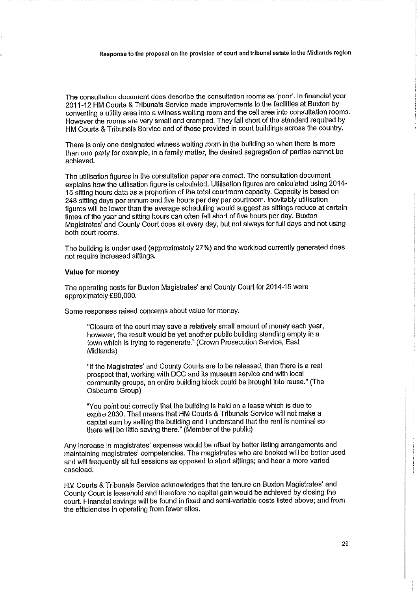The consultation document does describe the consultation rooms as 'poor'. In financial year 2011-12 HM Courts & Tribunals Service made improvements to the facilities at Buxton by converting a utility area into a witness waiting room and the cell area into consultation rooms. However the rooms are very small and cramped. They fall short of the standard required by HM Courts & Tribunals Service and of those provided in court buildings across the country.

There is only one designated witness waiting room in the building so when there is more than one party for example, in a family matter, the desired segregation of parties cannot be achieved.

The utilisation figures in the consultation paper are correct. The consultation document explains how the utilisation figure is calculated. Utilisation figures are calculated using 2014-15 sitting hours data as a proportion of the total courtroom capacity. Capacity is based on 248 sitting days per annum and five hours per day per courtroom. Inevitably utilisation figures will be lower than the average scheduling would suggest as sittings reduce at certain times of the year and sitting hours can often fall short of five hours per day. Buxton Magistrates' and County Court does sit every day, but not always for full days and not using both court rooms.

The building is under used (approximately 27%) and the workload currently generated does not require increased sittings.

#### Value for money

The operating costs for Buxton Magistrates' and County Court for 2014-15 were approximately £90,000.

Some responses raised concerns about value for money.

"Closure of the court may save a relatively small amount of money each year, however, the result would be yet another public building standing empty in a town which is trying to regenerate." (Crown Prosecution Service, East Midlands)

"If the Magistrates' and County Courts are to be released, then there is a real prospect that, working with DCC and its museum service and with local community groups, an entire building block could be brought into reuse." (The Osbourne Group)

"You point out correctly that the building is held on a lease which is due to expire 2030. That means that HM Courts & Tribunals Service will not make a capital sum by selling the building and I understand that the rent is nominal so there will be little saving there." (Member of the public)

Any increase in magistrates' expenses would be offset by better listing arrangements and maintaining magistrates' competencies. The magistrates who are booked will be better used and will frequently sit full sessions as opposed to short sittings; and hear a more varied caseload.

HM Courts & Tribunals Service acknowledges that the tenure on Buxton Magistrates' and County Court is leasehold and therefore no capital gain would be achieved by closing the court. Financial savings will be found in fixed and semi-variable costs listed above; and from the efficiencies in operating from fewer sites.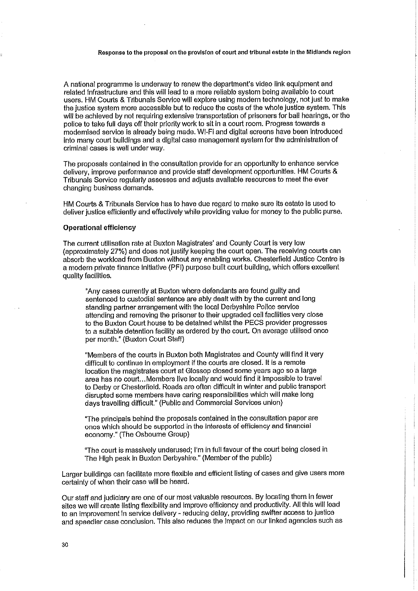A national programme is underway to renew the department's video link equipment and related infrastructure and this will lead to a more reliable system being available to court users. HM Courts & Tribunals Service will explore using modern technology, not just to make the justice system more accessible but to reduce the costs of the whole justice system. This will be achieved by not requiring extensive transportation of prisoners for ball hearings, or the police to take full days off their priority work to sit in a court room. Progress towards a modernised service is already being made. Wi-Fi and digital screens have been introduced Into many court buildings and a digital case management system for the administration of criminal cases is well under way.

The proposals contained in the consultation provide for an opportunity to enhance service delivery, improve performance and provide staff development opportunities. HM Courts & Tribunals Service regularly assesses and adjusts available resources to meet the ever changing business demands.

HM Courts & Tribunals Service has to have due regard to make sure its estate is used to deliver justice efficiently and effectively while providing value for money to the public purse.

#### **Operational efficiency**

The current utilisation rate at Buxton Magistrates' and County Court is very low (approximately 27%) and does not justify keeping the court open. The receiving courts can absorb the workload from Buxton without any enabling works. Chesterfield Justice Centre is a modern private finance initiative (PFI) purpose built court building, which offers excellent quality facilities.

"Any cases currently at Buxton where defendants are found guilty and sentenced to custodial sentence are ably dealt with by the current and long standing partner arrangement with the local Derbyshire Police service attending and removing the prisoner to their upgraded cell facilities very close to the Buxton Court house to be detained whilst the PECS provider progresses to a suitable detention facility as ordered by the court. On average utilised once per month." (Buxton Court Staff)

"Members of the courts in Buxton both Magistrates and County will find it very difficult to continue in employment if the courts are closed. It is a remote location the magistrates court at Glossop closed some years ago so a large area has no court... Members live locally and would find it impossible to travel to Derby or Chesterfield. Roads are often difficult in winter and public transport disrupted some members have caring responsibilities which will make long days travelling difficult." (Public and Commercial Services union)

"The principals behind the proposals contained in the consultation paper are ones which should be supported in the interests of efficiency and financial economy." (The Osbourne Group)

"The court is massively underused; I'm in full favour of the court being closed in The High peak in Buxton Derbyshire." (Member of the public)

Larger buildings can facilitate more flexible and efficient listing of cases and give users more certainty of when their case will be heard.

Our staff and judiciary are one of our most valuable resources. By locating them in fewer sites we will create listing flexibility and improve efficiency and productivity. All this will lead to an improvement in service delivery - reducing delay, providing swifter access to justice and speedier case conclusion. This also reduces the impact on our linked agencies such as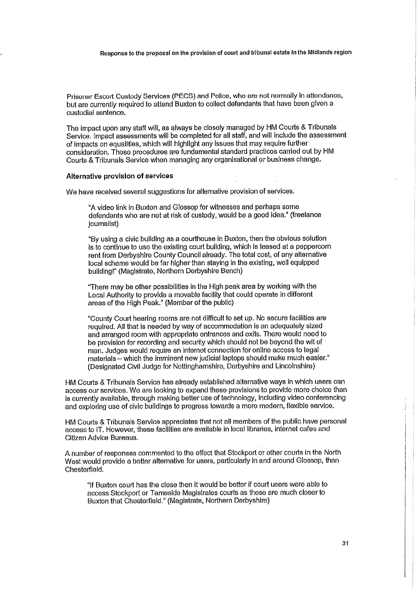Prisoner Escort Custody Services (PECS) and Police, who are not normally in attendance, but are currently required to attend Buxton to collect defendants that have been given a custodial sentence.

The impact upon any staff will, as always be closely managed by HM Courts & Tribunals Service. Impact assessments will be completed for all staff, and will include the assessment of impacts on equalities, which will highlight any issues that may require further consideration. These procedures are fundamental standard practices carried out by HM Courts & Tribunals Service when managing any organisational or business change.

#### Alternative provision of services

We have received several suggestions for alternative provision of services.

"A video link in Buxton and Glossop for witnesses and perhaps some defendants who are not at risk of custody, would be a good idea." (freelance journalist)

"By using a civic building as a courthouse in Buxton, then the obvious solution is to continue to use the existing court building, which is leased at a peppercorn rent from Derbyshire County Council already. The total cost, of any alternative local scheme would be far higher than staying in the existing, well equipped building!" (Magistrate, Northern Derbyshire Bench)

"There may be other possibilities in the High peak area by working with the Local Authority to provide a movable facility that could operate in different areas of the High Peak." (Member of the public)

"County Court hearing rooms are not difficult to set up. No secure facilities are required. All that is needed by way of accommodation is an adequately sized and arranged room with appropriate entrances and exits. There would need to be provision for recording and security which should not be beyond the wit of man. Judges would require an internet connection for online access to legal materials - which the imminent new judicial laptops should make much easier." (Designated Civil Judge for Nottinghamshire, Derbyshire and Lincolnshire)

HM Courts & Tribunals Service has already established alternative ways in which users can access our services. We are looking to expand these provisions to provide more choice than is currently available, through making better use of technology, including video conferencing and exploring use of civic buildings to progress towards a more modern, flexible service.

HM Courts & Tribunals Service appreciates that not all members of the public have personal access to IT. However, these facilities are available in local libraries, internet cafes and Citizen Advice Bureaus.

A number of responses commented to the effect that Stockport or other courts in the North West would provide a better alternative for users, particularly in and around Glossop, than Chesterfield.

"If Buxton court has the close then it would be better if court users were able to access Stockport or Tameside Magistrates courts as these are much closer to Buxton that Chesterfield." (Magistrate, Northern Derbyshire)

 $3<sub>1</sub>$